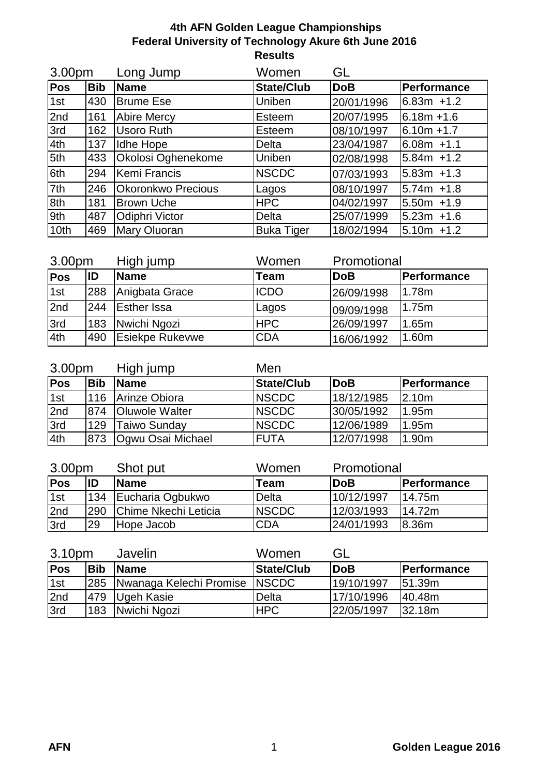| 3.00pm |            | Long Jump                 | Women             | GL         |                |
|--------|------------|---------------------------|-------------------|------------|----------------|
| Pos    | <b>Bib</b> | <b>Name</b>               | <b>State/Club</b> | <b>DoB</b> | Performance    |
| 1st    | 430        | <b>Brume Ese</b>          | Uniben            | 20/01/1996 | $6.83m +1.2$   |
| 2nd    | 161        | <b>Abire Mercy</b>        | Esteem            | 20/07/1995 | $6.18m + 1.6$  |
| 3rd    | 162        | Usoro Ruth                | Esteem            | 08/10/1997 | $6.10m + 1.7$  |
| 4th    | 137        | Idhe Hope                 | <b>Delta</b>      | 23/04/1987 | 6.08m +1.1     |
| 5th    | 433        | Okolosi Oghenekome        | Uniben            | 02/08/1998 | $5.84m + 1.2$  |
| 6th    | 294        | Kemi Francis              | <b>NSCDC</b>      | 07/03/1993 | $15.83m + 1.3$ |
| 7th    | 246        | <b>Okoronkwo Precious</b> | Lagos             | 08/10/1997 | $5.74m + 1.8$  |
| 8th    | 181        | <b>Brown Uche</b>         | <b>HPC</b>        | 04/02/1997 | $5.50m + 1.9$  |
| 9th    | 487        | Odiphri Victor            | <b>Delta</b>      | 25/07/1999 | $5.23m +1.6$   |
| 10th   | 469        | Mary Oluoran              | <b>Buka Tiger</b> | 18/02/1994 | $5.10m + 1.2$  |

| 3.00pm |     | High jump              | Women       | Promotional |                    |
|--------|-----|------------------------|-------------|-------------|--------------------|
| Pos    | ID  | <b>Name</b>            | Team        | <b>DoB</b>  | <b>Performance</b> |
| 1st    | 288 | Anigbata Grace         | <b>ICDO</b> | 26/09/1998  | l1.78m             |
| 2nd    | 244 | <b>Esther Issa</b>     | Lagos       | 09/09/1998  | l1.75m             |
| 3rd    | 183 | Nwichi Ngozi           | <b>HPC</b>  | 26/09/1997  | 1.65m              |
| 4th    | 490 | <b>Esiekpe Rukevwe</b> | <b>CDA</b>  | 16/06/1992  | 1.60m              |

| 3.00pm |            | High jump              | Men           |            |             |  |  |
|--------|------------|------------------------|---------------|------------|-------------|--|--|
| Pos    | <b>Bib</b> | <b>Name</b>            | State/Club    | <b>DoB</b> | Performance |  |  |
| 1st    | 116        | Arinze Obiora          | <b>INSCDC</b> | 18/12/1985 | $l$ 2.10m   |  |  |
| 2nd    | 874        | <b>IOluwole Walter</b> | <b>INSCDC</b> | 30/05/1992 | 1.95m       |  |  |
| 3rd    | 129        | Taiwo Sunday           | <b>INSCDC</b> | 12/06/1989 | 1.95m       |  |  |
| 4th    | 873        | Ogwu Osai Michael      | <b>FUTA</b>   | 12/07/1998 | 1.90m       |  |  |

| 3.00pm     |     | Shot put             | Women         | Promotional |                    |
|------------|-----|----------------------|---------------|-------------|--------------------|
| <b>Pos</b> | ID  | <b>Name</b>          | Team          | <b>DoB</b>  | <b>Performance</b> |
| 1st        | 134 | Eucharia Ogbukwo     | Delta         | 10/12/1997  | 114.75m            |
| 2nd        | 290 | Chime Nkechi Leticia | <b>INSCDC</b> | 12/03/1993  | 14.72m             |
| 3rd        | 29  | Hope Jacob           | <b>CDA</b>    | 24/01/1993  | 18.36 <sub>m</sub> |

| 3.10pm     |            | Javelin                     | Women         | GL         |                    |
|------------|------------|-----------------------------|---------------|------------|--------------------|
| <b>Pos</b> | <b>Bib</b> | <b>IName</b>                | State/Club    | <b>DoB</b> | <b>Performance</b> |
| 1st        |            | 285 Nwanaga Kelechi Promise | <b>INSCDC</b> | 19/10/1997 | l51.39m            |
| 2nd        | 479        | Ugeh Kasie                  | Delta         | 17/10/1996 | 40.48m             |
| 3rd        | 183        | Nwichi Ngozi                | <b>HPC</b>    | 22/05/1997 | 132.18m            |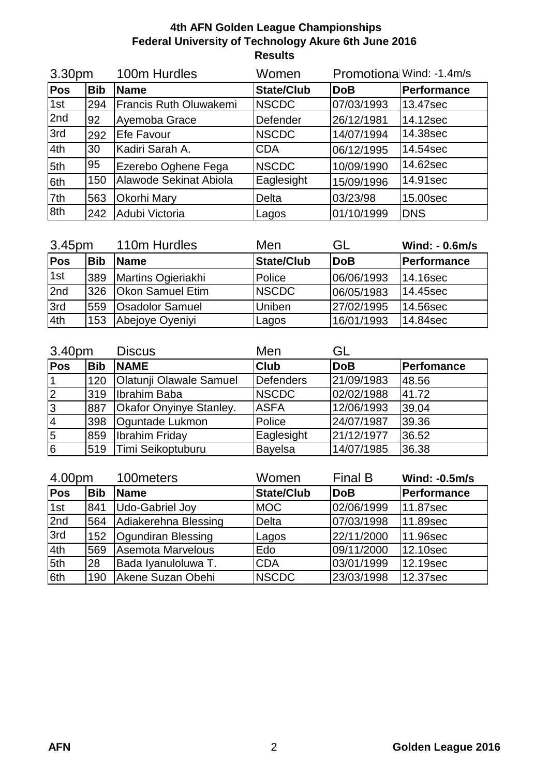| 3.30pm |            | 100m Hurdles           | Women             |            | Promotional Wind: -1.4m/s |
|--------|------------|------------------------|-------------------|------------|---------------------------|
| Pos    | <b>Bib</b> | Name                   | <b>State/Club</b> | <b>DoB</b> | Performance               |
| 1st    | 294        | Francis Ruth Oluwakemi | <b>NSCDC</b>      | 07/03/1993 | 13.47sec                  |
| 2nd    | 92         | Ayemoba Grace          | Defender          | 26/12/1981 | 14.12sec                  |
| 3rd    | 292        | Efe Favour             | <b>NSCDC</b>      | 14/07/1994 | 14.38sec                  |
| 4th    | 30         | Kadiri Sarah A.        | <b>CDA</b>        | 06/12/1995 | 14.54sec                  |
| 5th    | 95         | Ezerebo Oghene Fega    | <b>NSCDC</b>      | 10/09/1990 | 14.62sec                  |
| 6th    | 150        | Alawode Sekinat Abiola | Eaglesight        | 15/09/1996 | 14.91sec                  |
| 7th    | 563        | Okorhi Mary            | Delta             | 03/23/98   | 15.00sec                  |
| 8th    | 242        | Adubi Victoria         | Lagos             | 01/10/1999 | <b>DNS</b>                |

| 3.45pm     |            | 110m Hurdles            | Men               | GL         | Wind: - 0.6m/s     |
|------------|------------|-------------------------|-------------------|------------|--------------------|
| <b>Pos</b> | <b>Bib</b> | <b>Name</b>             | <b>State/Club</b> | <b>DoB</b> | <b>Performance</b> |
| 1st        | 389        | Martins Ogieriakhi      | Police            | 06/06/1993 | 14.16sec           |
| 2nd        | 326        | <b>Okon Samuel Etim</b> | <b>INSCDC</b>     | 06/05/1983 | 14.45sec           |
| 3rd        | 559        | <b>Osadolor Samuel</b>  | Uniben            | 27/02/1995 | 14.56sec           |
| 4th        | 153        | Abejoye Oyeniyi         | Lagos             | 16/01/1993 | 14.84sec           |

| 3.40pm         |            | <b>Discus</b>                  | Men              | GL         |            |
|----------------|------------|--------------------------------|------------------|------------|------------|
| <b>Pos</b>     | <b>Bib</b> | <b>NAME</b>                    | <b>Club</b>      | <b>DoB</b> | Perfomance |
|                | 120        | <b>Olatunji Olawale Samuel</b> | <b>Defenders</b> | 21/09/1983 | 48.56      |
| 2              | 319        | Ibrahim Baba                   | <b>NSCDC</b>     | 02/02/1988 | 41.72      |
| 3              | 887        | Okafor Onyinye Stanley.        | <b>ASFA</b>      | 12/06/1993 | 39.04      |
| $\overline{4}$ | 398        | Oguntade Lukmon                | Police           | 24/07/1987 | 39.36      |
| 5              | 859        | Ibrahim Friday                 | Eaglesight       | 21/12/1977 | 36.52      |
| $\sqrt{6}$     | 519        | Timi Seikoptuburu              | <b>Bayelsa</b>   | 14/07/1985 | 36.38      |

| 4.00pm     |            | 100meters            | Women             | <b>Final B</b> | <b>Wind: -0.5m/s</b> |
|------------|------------|----------------------|-------------------|----------------|----------------------|
| <b>Pos</b> | <b>Bib</b> | <b>Name</b>          | <b>State/Club</b> | <b>DoB</b>     | Performance          |
| 1st        | 841        | Udo-Gabriel Joy      | <b>MOC</b>        | 02/06/1999     | 11.87sec             |
| 2nd        | 564        | Adiakerehna Blessing | <b>Delta</b>      | 07/03/1998     | 11.89sec             |
| 3rd        | 152        | Ogundiran Blessing   | Lagos             | 22/11/2000     | 11.96sec             |
| 4th        | 569        | Asemota Marvelous    | Edo               | 09/11/2000     | 12.10sec             |
| 5th        | 28         | Bada Iyanuloluwa T.  | <b>CDA</b>        | 03/01/1999     | 12.19sec             |
| 6th        | 190        | Akene Suzan Obehi    | <b>NSCDC</b>      | 23/03/1998     | 12.37sec             |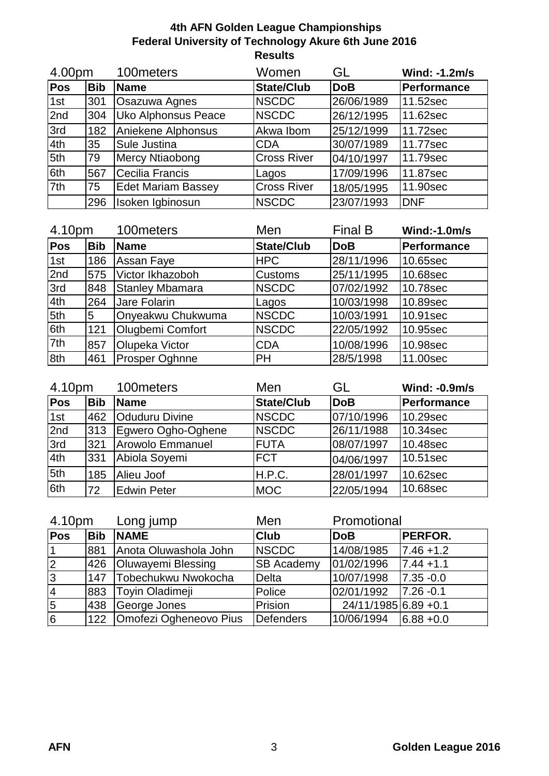| 4.00pm |            | 100meters<br>Women<br>GL   |                    | Wind: -1.2m/s |             |
|--------|------------|----------------------------|--------------------|---------------|-------------|
| Pos    | <b>Bib</b> | Name                       | <b>State/Club</b>  | <b>DoB</b>    | Performance |
| 1st    | 301        | Osazuwa Agnes              | <b>NSCDC</b>       | 26/06/1989    | 11.52sec    |
| 2nd    | 304        | <b>Uko Alphonsus Peace</b> | <b>NSCDC</b>       | 26/12/1995    | 11.62sec    |
| 3rd    | 182        | Aniekene Alphonsus         | Akwa Ibom          | 25/12/1999    | 11.72sec    |
| 4th    | 35         | Sule Justina               | <b>CDA</b>         | 30/07/1989    | 11.77sec    |
| 5th    | 79         | Mercy Ntiaobong            | <b>Cross River</b> | 04/10/1997    | 11.79sec    |
| 6th    | 567        | <b>Cecilia Francis</b>     | Lagos              | 17/09/1996    | 11.87sec    |
| 7th    | 75         | <b>Edet Mariam Bassey</b>  | <b>Cross River</b> | 18/05/1995    | 11.90sec    |
|        | 296        | Isoken Igbinosun           | <b>NSCDC</b>       | 23/07/1993    | <b>DNF</b>  |

| 4.10pm |            | 100meters              | Men               | <b>Final B</b> | <b>Wind:-1.0m/s</b> |
|--------|------------|------------------------|-------------------|----------------|---------------------|
| Pos    | <b>Bib</b> | <b>Name</b>            | <b>State/Club</b> | <b>DoB</b>     | Performance         |
| 1st    | 186        | Assan Faye             | <b>HPC</b>        | 28/11/1996     | 10.65sec            |
| 2nd    | 575        | Victor Ikhazoboh       | <b>Customs</b>    | 25/11/1995     | 10.68sec            |
| 3rd    | 848        | <b>Stanley Mbamara</b> | <b>NSCDC</b>      | 07/02/1992     | 10.78sec            |
| 4th    | 264        | Jare Folarin           | Lagos             | 10/03/1998     | 10.89sec            |
| 5th    | 5          | Onyeakwu Chukwuma      | <b>NSCDC</b>      | 10/03/1991     | 10.91sec            |
| 6th    | 121        | Olugbemi Comfort       | <b>NSCDC</b>      | 22/05/1992     | 10.95sec            |
| 7th    | 857        | Olupeka Victor         | <b>CDA</b>        | 10/08/1996     | 10.98sec            |
| 8th    | 461        | Prosper Oghnne         | <b>PH</b>         | 28/5/1998      | 11.00sec            |

| 4.10pm     |            | 100 meters              | Men               | GL         | <b>Wind: -0.9m/s</b> |
|------------|------------|-------------------------|-------------------|------------|----------------------|
| <b>Pos</b> | <b>Bib</b> | <b>Name</b>             | <b>State/Club</b> | <b>DoB</b> | Performance          |
| 1st        | 462        | <b>Oduduru Divine</b>   | <b>NSCDC</b>      | 07/10/1996 | 10.29sec             |
| 2nd        | 313        | Egwero Ogho-Oghene      | <b>NSCDC</b>      | 26/11/1988 | 10.34sec             |
| 3rd        | 321        | <b>Arowolo Emmanuel</b> | <b>FUTA</b>       | 08/07/1997 | 10.48sec             |
| 4th        | 331        | Abiola Soyemi           | <b>FCT</b>        | 04/06/1997 | 10.51sec             |
| 5th        | 185        | Alieu Joof              | H.P.C.            | 28/01/1997 | 10.62sec             |
| 6th        | 72         | <b>Edwin Peter</b>      | <b>MOC</b>        | 22/05/1994 | 10.68sec             |

| 4.10pm      |            | Long jump                  | Promotional<br>Men |                       |                |
|-------------|------------|----------------------------|--------------------|-----------------------|----------------|
| Pos         | <b>Bib</b> | <b>NAME</b>                | <b>Club</b>        | <b>DoB</b>            | <b>PERFOR.</b> |
| I1          | 881        | Anota Oluwashola John      | <b>NSCDC</b>       | 14/08/1985            | $17.46 + 1.2$  |
| $ 2\rangle$ | 426        | <b>Oluwayemi Blessing</b>  | <b>SB Academy</b>  | 01/02/1996            | $17.44 + 1.1$  |
| 3           | 147        | Tobechukwu Nwokocha        | <b>Delta</b>       | 10/07/1998            | $7.35 - 0.0$   |
| 14          | 883        | Toyin Oladimeji            | Police             | 02/01/1992            | $17.26 - 0.1$  |
| 5           | 438        | George Jones               | Prision            | 24/11/1985 6.89 + 0.1 |                |
| 6           |            | 122 Omofezi Ogheneovo Pius | Defenders          | 10/06/1994            | $16.88 + 0.0$  |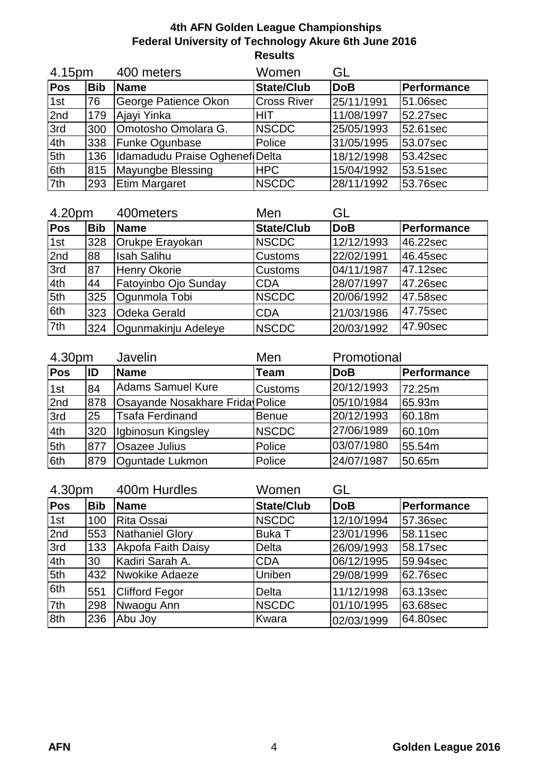| 4.15pm     |            | 400 meters                     | Women              | GL         |             |
|------------|------------|--------------------------------|--------------------|------------|-------------|
| <b>Pos</b> | <b>Bib</b> | <b>IName</b>                   | <b>State/Club</b>  | <b>DoB</b> | Performance |
| 1st        | 76         | George Patience Okon           | <b>Cross River</b> | 25/11/1991 | 51.06sec    |
| 2nd        | 179        | Ajayi Yinka                    | HIT                | 11/08/1997 | 52.27sec    |
| 3rd        | 300        | Omotosho Omolara G.            | <b>NSCDC</b>       | 25/05/1993 | 52.61sec    |
| 4th        | 338        | <b>Funke Ogunbase</b>          | Police             | 31/05/1995 | 53.07sec    |
| 5th        | 136        | Idamadudu Praise Oghenef Delta |                    | 18/12/1998 | 53.42sec    |
| 6th        | 815        | Mayungbe Blessing              | <b>HPC</b>         | 15/04/1992 | 53.51sec    |
| 7th        | 293        | <b>Etim Margaret</b>           | <b>NSCDC</b>       | 28/11/1992 | 53.76sec    |

| 4.20pm |            | 400 meters           | Men               | GL         |             |
|--------|------------|----------------------|-------------------|------------|-------------|
| Pos    | <b>Bib</b> | <b>Name</b>          | <b>State/Club</b> | <b>DoB</b> | Performance |
| 1st    | 328        | Orukpe Erayokan      | <b>NSCDC</b>      | 12/12/1993 | 46.22sec    |
| 2nd    | 88         | <b>Isah Salihu</b>   | <b>Customs</b>    | 22/02/1991 | 46.45sec    |
| 3rd    | 87         | <b>Henry Okorie</b>  | <b>Customs</b>    | 04/11/1987 | 47.12sec    |
| 4th    | 44         | Fatoyinbo Ojo Sunday | <b>CDA</b>        | 28/07/1997 | 47.26sec    |
| 5th    | 325        | Ogunmola Tobi        | <b>NSCDC</b>      | 20/06/1992 | 47.58sec    |
| 6th    | 323        | <b>Odeka Gerald</b>  | <b>CDA</b>        | 21/03/1986 | 47.75sec    |
| 7th    | 324        | Ogunmakinju Adeleye  | <b>NSCDC</b>      | 20/03/1992 | 47.90sec    |

| 4.30pm |     | Javelin                         | Men            | Promotional |               |
|--------|-----|---------------------------------|----------------|-------------|---------------|
| Pos    | ID  | <b>Name</b>                     | <b>Team</b>    | <b>DoB</b>  | Performance   |
| 1st    | 84  | <b>Adams Samuel Kure</b>        | <b>Customs</b> | 20/12/1993  | <b>72.25m</b> |
| 2nd    | 878 | Osayande Nosakhare Frida Police |                | 05/10/1984  | l65.93m       |
| 3rd    | 25  | <b>Tsafa Ferdinand</b>          | <b>Benue</b>   | 20/12/1993  | 60.18m        |
| 4th    | 320 | Igbinosun Kingsley              | <b>NSCDC</b>   | 27/06/1989  | 60.10m        |
| 5th    | 877 | <b>Osazee Julius</b>            | Police         | 03/07/1980  | <b>55.54m</b> |
| 6th    | 879 | Oguntade Lukmon                 | Police         | 24/07/1987  | 50.65m        |

| 4.30pm |            | 400m Hurdles          | GL<br>Women       |            |             |  |
|--------|------------|-----------------------|-------------------|------------|-------------|--|
| Pos    | <b>Bib</b> | <b>Name</b>           | <b>State/Club</b> | <b>DoB</b> | Performance |  |
| 1st    | 100        | Rita Ossai            | <b>NSCDC</b>      | 12/10/1994 | 57.36sec    |  |
| 2nd    | 553        | Nathaniel Glory       | <b>Buka T</b>     | 23/01/1996 | 58.11sec    |  |
| 3rd    | 133        | Akpofa Faith Daisy    | Delta             | 26/09/1993 | 58.17sec    |  |
| 4th    | 30         | Kadiri Sarah A.       | <b>CDA</b>        | 06/12/1995 | 59.94sec    |  |
| 5th    | 432        | Nwokike Adaeze        | Uniben            | 29/08/1999 | 62.76sec    |  |
| 6th    | 551        | <b>Clifford Fegor</b> | <b>Delta</b>      | 11/12/1998 | 63.13sec    |  |
| 7th    | 298        | Nwaogu Ann            | <b>NSCDC</b>      | 01/10/1995 | 63.68sec    |  |
| 8th    | 236        | Abu Joy               | Kwara             | 02/03/1999 | 64.80sec    |  |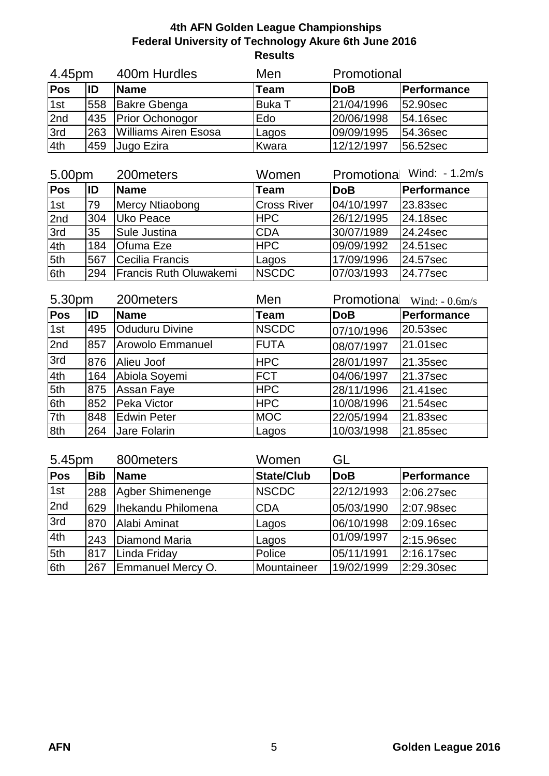| 4.45pm |     | 400m Hurdles         | Promotional<br>Men |            |                  |
|--------|-----|----------------------|--------------------|------------|------------------|
| Pos    | ID  | <b>Name</b>          | <b>Team</b>        | <b>DoB</b> | Performance      |
| 1st    | 558 | Bakre Gbenga         | <b>Buka T</b>      | 21/04/1996 | <b>52.90sec</b>  |
| 2nd    |     | 435 Prior Ochonogor  | Edo                | 20/06/1998 | 54.16sec         |
| 3rd    | 263 | Williams Airen Esosa | Lagos              | 09/09/1995 | <b>154.36sec</b> |
| 4th    | 459 | Jugo Ezira           | Kwara              | 12/12/1997 | 56.52sec         |

| 5.00pm     |     | 200 meters             | Women              | Promotiona Wind: - 1.2m/s |             |  |
|------------|-----|------------------------|--------------------|---------------------------|-------------|--|
| <b>Pos</b> | ID  | <b>Name</b>            | Team               | <b>DoB</b>                | Performance |  |
| 1st        | 79  | Mercy Ntiaobong        | <b>Cross River</b> | 04/10/1997                | 23.83sec    |  |
| 2nd        | 304 | Uko Peace              | <b>HPC</b>         | 26/12/1995                | 24.18sec    |  |
| 3rd        | 35  | <b>Sule Justina</b>    | <b>CDA</b>         | 30/07/1989                | 24.24sec    |  |
| 4th        | 184 | <b>O</b> fuma Eze      | <b>HPC</b>         | 09/09/1992                | 24.51sec    |  |
| 5th        | 567 | Cecilia Francis        | Lagos              | 17/09/1996                | 24.57sec    |  |
| 6th        | 294 | Francis Ruth Oluwakemi | <b>NSCDC</b>       | 07/03/1993                | 24.77sec    |  |

| 5.30pm     |     | 200meters             | Men          | Promotional | Wind: $-0.6$ m/s |
|------------|-----|-----------------------|--------------|-------------|------------------|
| <b>Pos</b> | ID  | Name                  | <b>Team</b>  | <b>DoB</b>  | Performance      |
| 1st        | 495 | <b>Oduduru Divine</b> | <b>NSCDC</b> | 07/10/1996  | 20.53sec         |
| 2nd        | 857 | Arowolo Emmanuel      | <b>FUTA</b>  | 08/07/1997  | 21.01sec         |
| 3rd        | 876 | Alieu Joof            | <b>HPC</b>   | 28/01/1997  | 21.35sec         |
| 4th        | 164 | Abiola Soyemi         | <b>FCT</b>   | 04/06/1997  | 21.37sec         |
| 5th        | 875 | <b>Assan Faye</b>     | <b>HPC</b>   | 28/11/1996  | 21.41sec         |
| 6th        | 852 | Peka Victor           | <b>HPC</b>   | 10/08/1996  | 21.54sec         |
| 7th        | 848 | <b>Edwin Peter</b>    | <b>MOC</b>   | 22/05/1994  | 21.83sec         |
| 8th        | 264 | Jare Folarin          | Lagos        | 10/03/1998  | 21.85sec         |

| 5.45pm |            | 800 meters         | Women             | GL         |             |  |
|--------|------------|--------------------|-------------------|------------|-------------|--|
| Pos    | <b>Bib</b> | <b>Name</b>        | <b>State/Club</b> | <b>DoB</b> | Performance |  |
| 1st    | 288        | Agber Shimenenge   | <b>NSCDC</b>      | 22/12/1993 | 2:06.27sec  |  |
| 2nd    | 629        | Ihekandu Philomena | <b>CDA</b>        | 05/03/1990 | 2:07.98sec  |  |
| 3rd    | 870        | Alabi Aminat       | Lagos             | 06/10/1998 | 2:09.16sec  |  |
| 4th    | 243        | Diamond Maria      | Lagos             | 01/09/1997 | 2:15.96sec  |  |
| 5th    | 817        | Linda Friday       | Police            | 05/11/1991 | 2:16.17sec  |  |
| 6th    | 267        | Emmanuel Mercy O.  | Mountaineer       | 19/02/1999 | 2:29.30sec  |  |